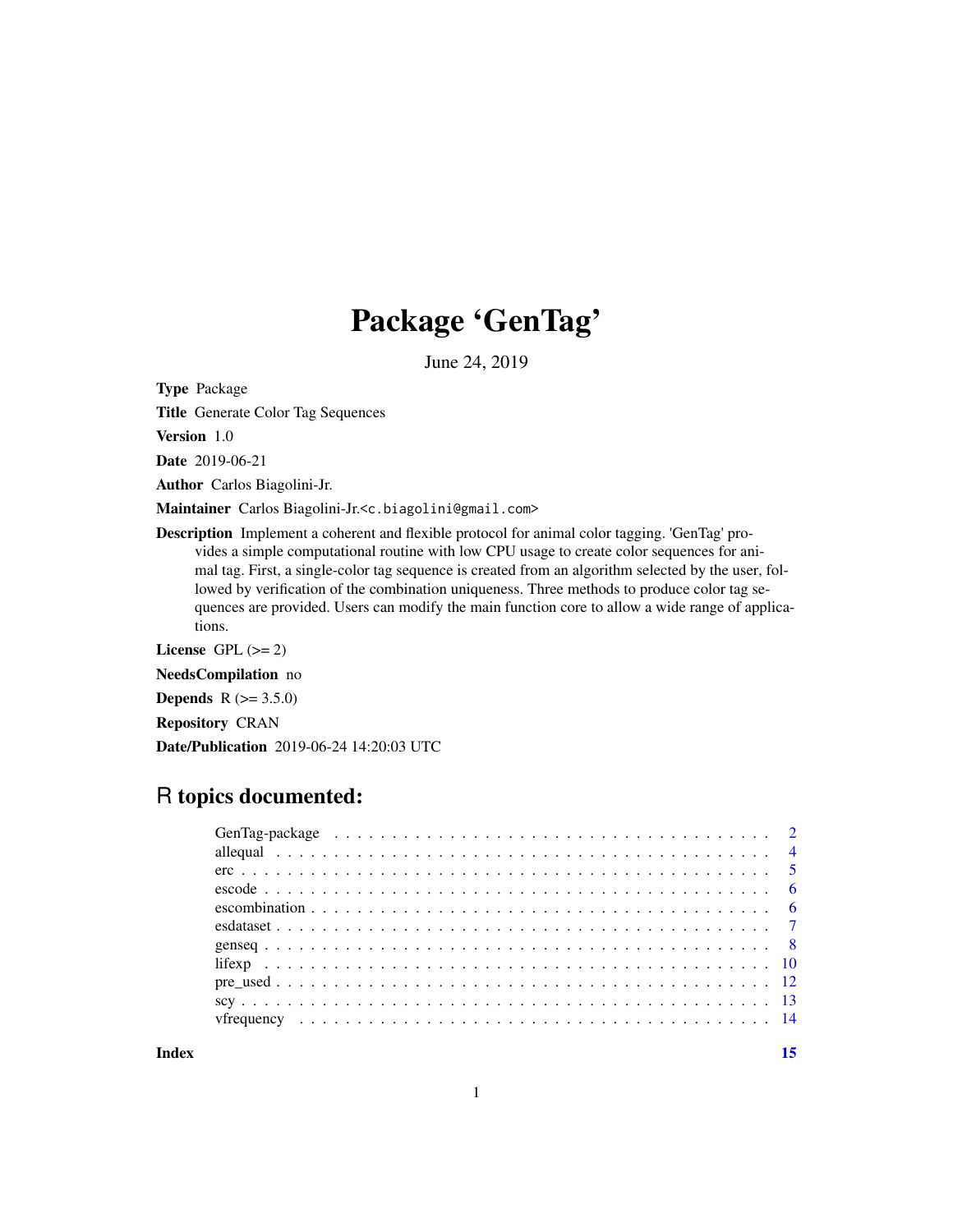## Package 'GenTag'

June 24, 2019

Type Package

Title Generate Color Tag Sequences

Version 1.0

Date 2019-06-21

Author Carlos Biagolini-Jr.

Maintainer Carlos Biagolini-Jr.<c.biagolini@gmail.com>

Description Implement a coherent and flexible protocol for animal color tagging. 'GenTag' provides a simple computational routine with low CPU usage to create color sequences for animal tag. First, a single-color tag sequence is created from an algorithm selected by the user, followed by verification of the combination uniqueness. Three methods to produce color tag sequences are provided. Users can modify the main function core to allow a wide range of applications.

License GPL  $(>= 2)$ 

NeedsCompilation no

**Depends** R  $(>= 3.5.0)$ 

Repository CRAN

Date/Publication 2019-06-24 14:20:03 UTC

## R topics documented:

**Index** [15](#page-14-0)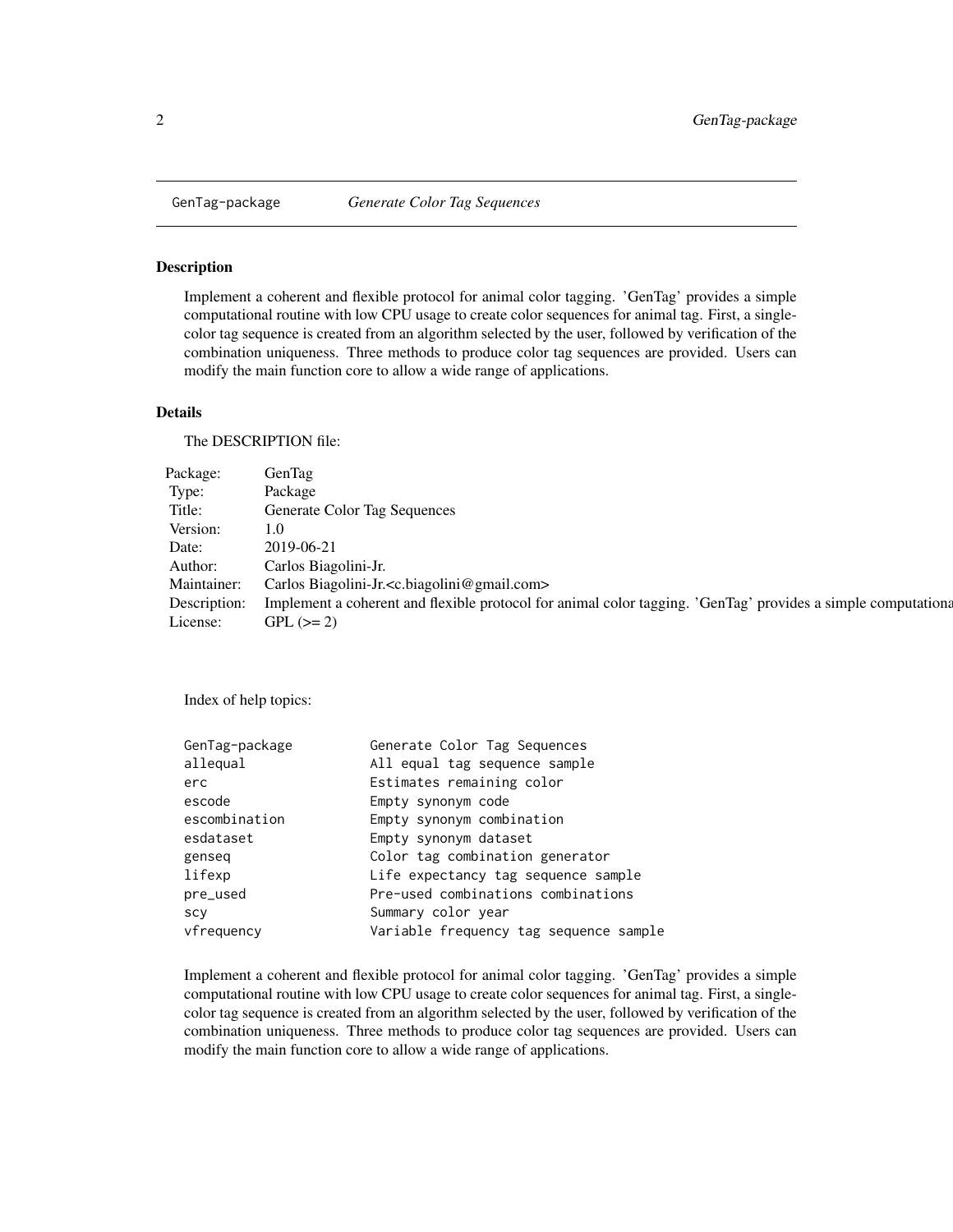<span id="page-1-0"></span>

Implement a coherent and flexible protocol for animal color tagging. 'GenTag' provides a simple computational routine with low CPU usage to create color sequences for animal tag. First, a singlecolor tag sequence is created from an algorithm selected by the user, followed by verification of the combination uniqueness. Three methods to produce color tag sequences are provided. Users can modify the main function core to allow a wide range of applications.

#### Details

The DESCRIPTION file:

| Package: GenTag       |                                                                                                                            |
|-----------------------|----------------------------------------------------------------------------------------------------------------------------|
| Type:                 | Package                                                                                                                    |
| Title:                | <b>Generate Color Tag Sequences</b>                                                                                        |
| Version: 1.0          |                                                                                                                            |
| Date:                 | 2019-06-21                                                                                                                 |
|                       | Author: Carlos Biagolini-Jr.                                                                                               |
|                       | Maintainer: Carlos Biagolini-Jr. <c.biagolini@gmail.com></c.biagolini@gmail.com>                                           |
|                       | Description: Implement a coherent and flexible protocol for animal color tagging. 'GenTag' provides a simple computational |
| License: GPL $(>= 2)$ |                                                                                                                            |

Index of help topics:

| Generate Color Tag Sequences           |
|----------------------------------------|
| All equal tag sequence sample          |
| Estimates remaining color              |
| Empty synonym code                     |
| Empty synonym combination              |
| Empty synonym dataset                  |
| Color tag combination generator        |
| Life expectancy tag sequence sample    |
| Pre-used combinations combinations     |
| Summary color year                     |
| Variable frequency tag sequence sample |
|                                        |

Implement a coherent and flexible protocol for animal color tagging. 'GenTag' provides a simple computational routine with low CPU usage to create color sequences for animal tag. First, a singlecolor tag sequence is created from an algorithm selected by the user, followed by verification of the combination uniqueness. Three methods to produce color tag sequences are provided. Users can modify the main function core to allow a wide range of applications.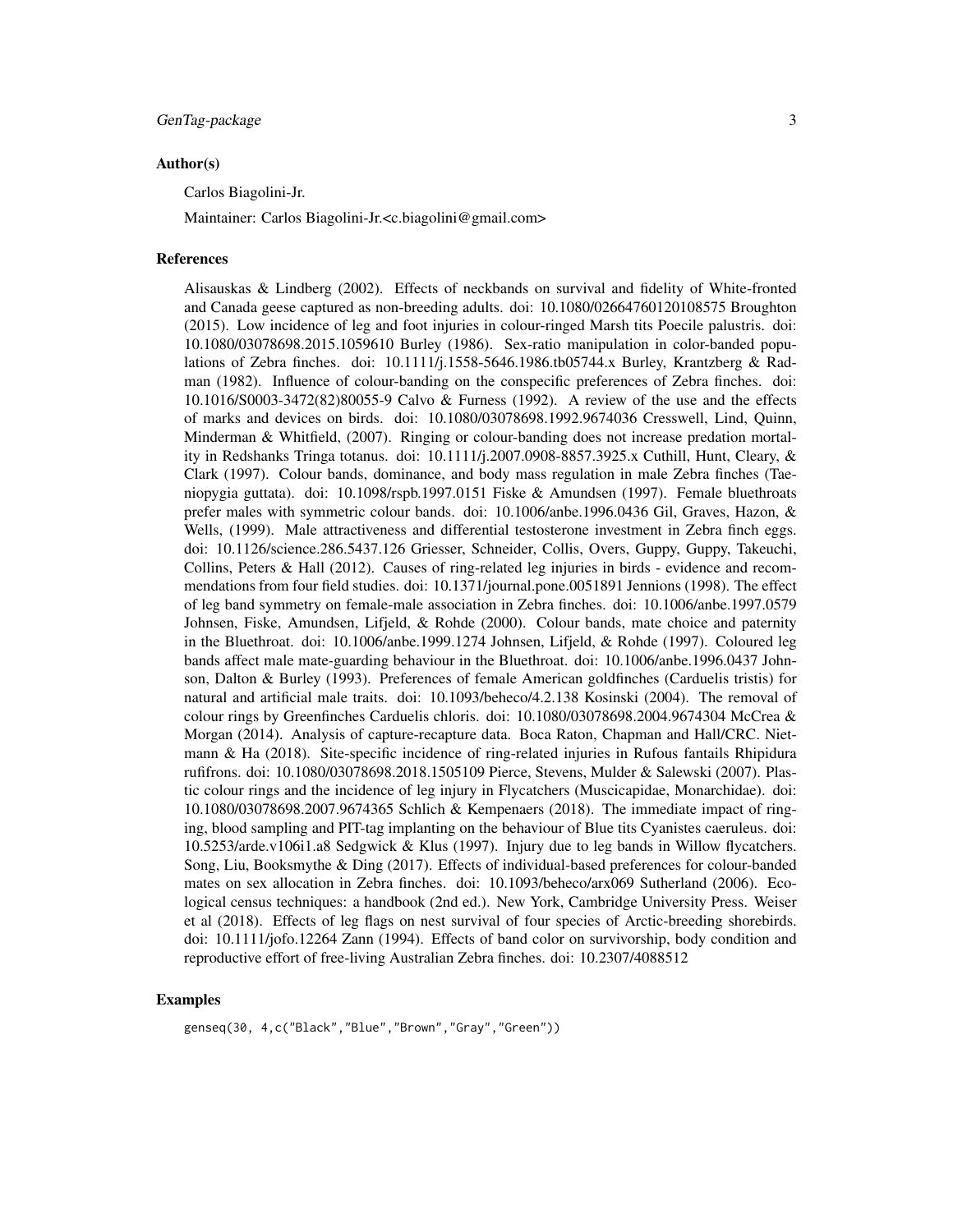#### Author(s)

Carlos Biagolini-Jr.

Maintainer: Carlos Biagolini-Jr.<c.biagolini@gmail.com>

#### References

Alisauskas & Lindberg (2002). Effects of neckbands on survival and fidelity of White-fronted and Canada geese captured as non-breeding adults. doi: 10.1080/02664760120108575 Broughton (2015). Low incidence of leg and foot injuries in colour-ringed Marsh tits Poecile palustris. doi: 10.1080/03078698.2015.1059610 Burley (1986). Sex-ratio manipulation in color-banded populations of Zebra finches. doi: 10.1111/j.1558-5646.1986.tb05744.x Burley, Krantzberg & Radman (1982). Influence of colour-banding on the conspecific preferences of Zebra finches. doi: 10.1016/S0003-3472(82)80055-9 Calvo & Furness (1992). A review of the use and the effects of marks and devices on birds. doi: 10.1080/03078698.1992.9674036 Cresswell, Lind, Quinn, Minderman & Whitfield, (2007). Ringing or colour-banding does not increase predation mortality in Redshanks Tringa totanus. doi: 10.1111/j.2007.0908-8857.3925.x Cuthill, Hunt, Cleary, & Clark (1997). Colour bands, dominance, and body mass regulation in male Zebra finches (Taeniopygia guttata). doi: 10.1098/rspb.1997.0151 Fiske & Amundsen (1997). Female bluethroats prefer males with symmetric colour bands. doi: 10.1006/anbe.1996.0436 Gil, Graves, Hazon, & Wells, (1999). Male attractiveness and differential testosterone investment in Zebra finch eggs. doi: 10.1126/science.286.5437.126 Griesser, Schneider, Collis, Overs, Guppy, Guppy, Takeuchi, Collins, Peters & Hall (2012). Causes of ring-related leg injuries in birds - evidence and recommendations from four field studies. doi: 10.1371/journal.pone.0051891 Jennions (1998). The effect of leg band symmetry on female-male association in Zebra finches. doi: 10.1006/anbe.1997.0579 Johnsen, Fiske, Amundsen, Lifjeld, & Rohde (2000). Colour bands, mate choice and paternity in the Bluethroat. doi: 10.1006/anbe.1999.1274 Johnsen, Lifjeld, & Rohde (1997). Coloured leg bands affect male mate-guarding behaviour in the Bluethroat. doi: 10.1006/anbe.1996.0437 Johnson, Dalton & Burley (1993). Preferences of female American goldfinches (Carduelis tristis) for natural and artificial male traits. doi: 10.1093/beheco/4.2.138 Kosinski (2004). The removal of colour rings by Greenfinches Carduelis chloris. doi: 10.1080/03078698.2004.9674304 McCrea & Morgan (2014). Analysis of capture-recapture data. Boca Raton, Chapman and Hall/CRC. Nietmann & Ha (2018). Site-specific incidence of ring-related injuries in Rufous fantails Rhipidura rufifrons. doi: 10.1080/03078698.2018.1505109 Pierce, Stevens, Mulder & Salewski (2007). Plastic colour rings and the incidence of leg injury in Flycatchers (Muscicapidae, Monarchidae). doi: 10.1080/03078698.2007.9674365 Schlich & Kempenaers (2018). The immediate impact of ringing, blood sampling and PIT-tag implanting on the behaviour of Blue tits Cyanistes caeruleus. doi: 10.5253/arde.v106i1.a8 Sedgwick & Klus (1997). Injury due to leg bands in Willow flycatchers. Song, Liu, Booksmythe & Ding (2017). Effects of individual-based preferences for colour-banded mates on sex allocation in Zebra finches. doi: 10.1093/beheco/arx069 Sutherland (2006). Ecological census techniques: a handbook (2nd ed.). New York, Cambridge University Press. Weiser et al (2018). Effects of leg flags on nest survival of four species of Arctic-breeding shorebirds. doi: 10.1111/jofo.12264 Zann (1994). Effects of band color on survivorship, body condition and reproductive effort of free-living Australian Zebra finches. doi: 10.2307/4088512

#### Examples

genseq(30, 4,c("Black","Blue","Brown","Gray","Green"))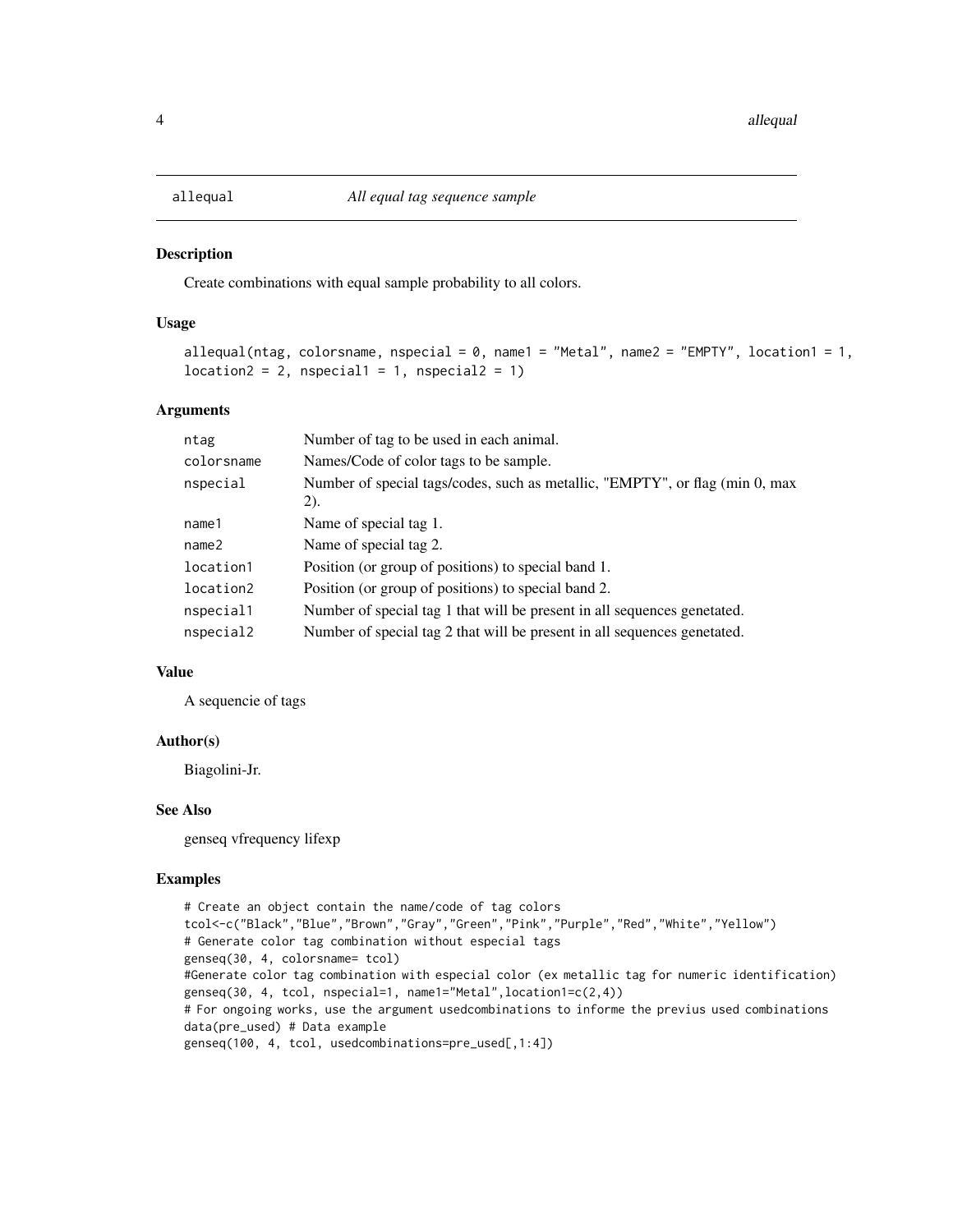<span id="page-3-0"></span>

Create combinations with equal sample probability to all colors.

#### Usage

```
allequal(ntag, colorsname, nspecial = 0, name1 = "Metal", name2 = "EMPTY", location1 = 1,
location2 = 2, nspecial1 = 1, nspecial2 = 1)
```
#### Arguments

| ntag       | Number of tag to be used in each animal.                                             |
|------------|--------------------------------------------------------------------------------------|
| colorsname | Names/Code of color tags to be sample.                                               |
| nspecial   | Number of special tags/codes, such as metallic, "EMPTY", or flag (min 0, max<br>(2). |
| name1      | Name of special tag 1.                                                               |
| name2      | Name of special tag 2.                                                               |
| location1  | Position (or group of positions) to special band 1.                                  |
| location2  | Position (or group of positions) to special band 2.                                  |
| nspecial1  | Number of special tag 1 that will be present in all sequences genetated.             |
| nspecial2  | Number of special tag 2 that will be present in all sequences genetated.             |

#### Value

A sequencie of tags

#### Author(s)

Biagolini-Jr.

#### See Also

genseq vfrequency lifexp

```
# Create an object contain the name/code of tag colors
tcol<-c("Black","Blue","Brown","Gray","Green","Pink","Purple","Red","White","Yellow")
# Generate color tag combination without especial tags
genseq(30, 4, colorsname= tcol)
#Generate color tag combination with especial color (ex metallic tag for numeric identification)
genseq(30, 4, tcol, nspecial=1, name1="Metal",location1=c(2,4))
# For ongoing works, use the argument usedcombinations to informe the previus used combinations
data(pre_used) # Data example
genseq(100, 4, tcol, usedcombinations=pre_used[,1:4])
```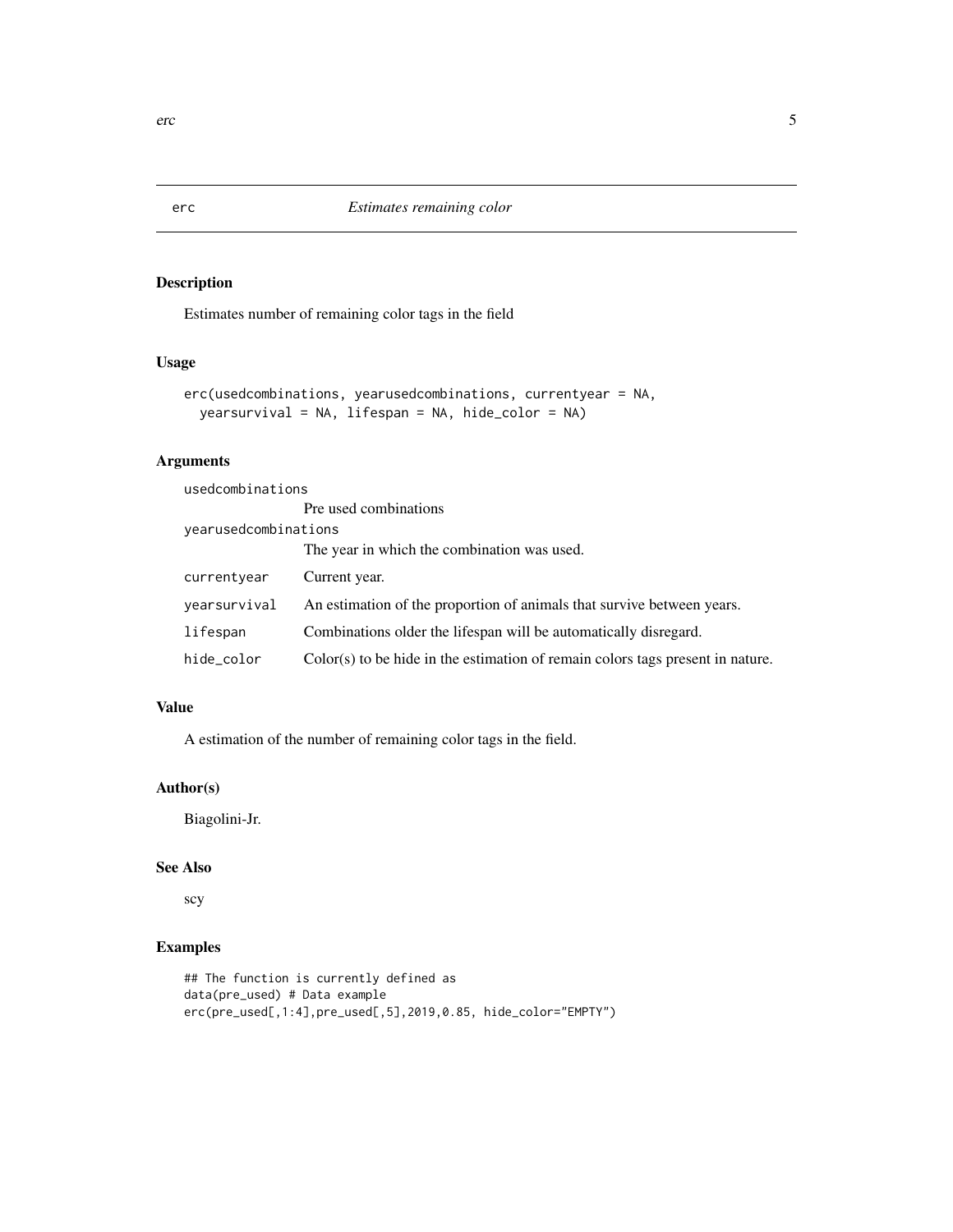Estimates number of remaining color tags in the field

#### Usage

```
erc(usedcombinations, yearusedcombinations, currentyear = NA,
 yearsurvival = NA, lifespan = NA, hide_color = NA)
```
## Arguments

usedcombinations

|                      | Pre used combinations                                                            |  |
|----------------------|----------------------------------------------------------------------------------|--|
| vearusedcombinations |                                                                                  |  |
|                      | The year in which the combination was used.                                      |  |
| currentyear          | Current year.                                                                    |  |
| vearsurvival         | An estimation of the proportion of animals that survive between years.           |  |
| lifespan             | Combinations older the lifespan will be automatically disregard.                 |  |
| hide_color           | $Color(s)$ to be hide in the estimation of remain colors tags present in nature. |  |

#### Value

A estimation of the number of remaining color tags in the field.

## Author(s)

Biagolini-Jr.

## See Also

scy

```
## The function is currently defined as
data(pre_used) # Data example
erc(pre_used[,1:4],pre_used[,5],2019,0.85, hide_color="EMPTY")
```
<span id="page-4-0"></span>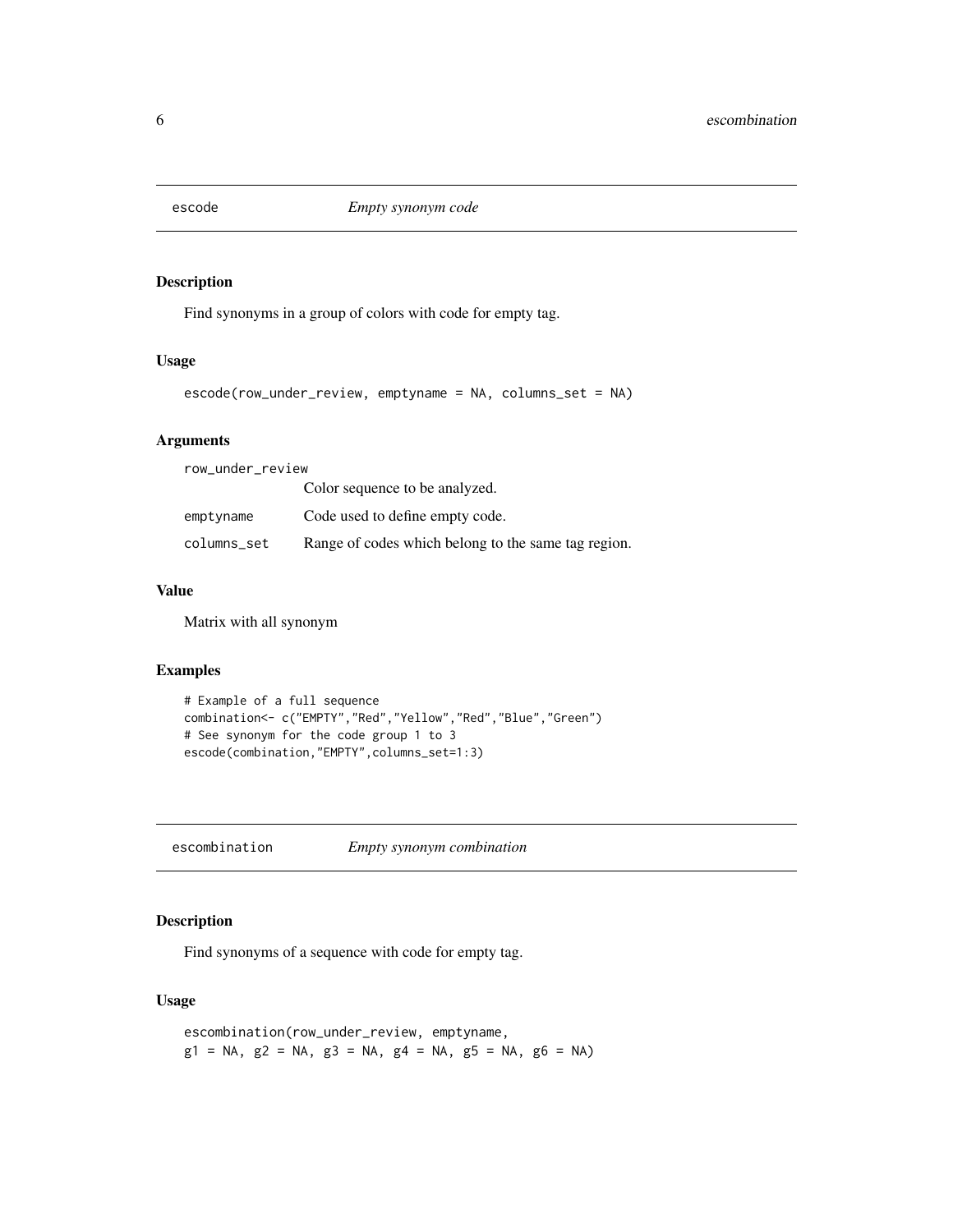<span id="page-5-0"></span>

Find synonyms in a group of colors with code for empty tag.

#### Usage

```
escode(row_under_review, emptyname = NA, columns_set = NA)
```
#### Arguments

| row_under_review |                                                     |  |
|------------------|-----------------------------------------------------|--|
|                  | Color sequence to be analyzed.                      |  |
| emptyname        | Code used to define empty code.                     |  |
| columns_set      | Range of codes which belong to the same tag region. |  |

#### Value

Matrix with all synonym

#### Examples

```
# Example of a full sequence
combination<- c("EMPTY","Red","Yellow","Red","Blue","Green")
# See synonym for the code group 1 to 3
escode(combination,"EMPTY",columns_set=1:3)
```
escombination *Empty synonym combination*

## Description

Find synonyms of a sequence with code for empty tag.

#### Usage

escombination(row\_under\_review, emptyname,  $g1 = NA$ ,  $g2 = NA$ ,  $g3 = NA$ ,  $g4 = NA$ ,  $g5 = NA$ ,  $g6 = NA$ )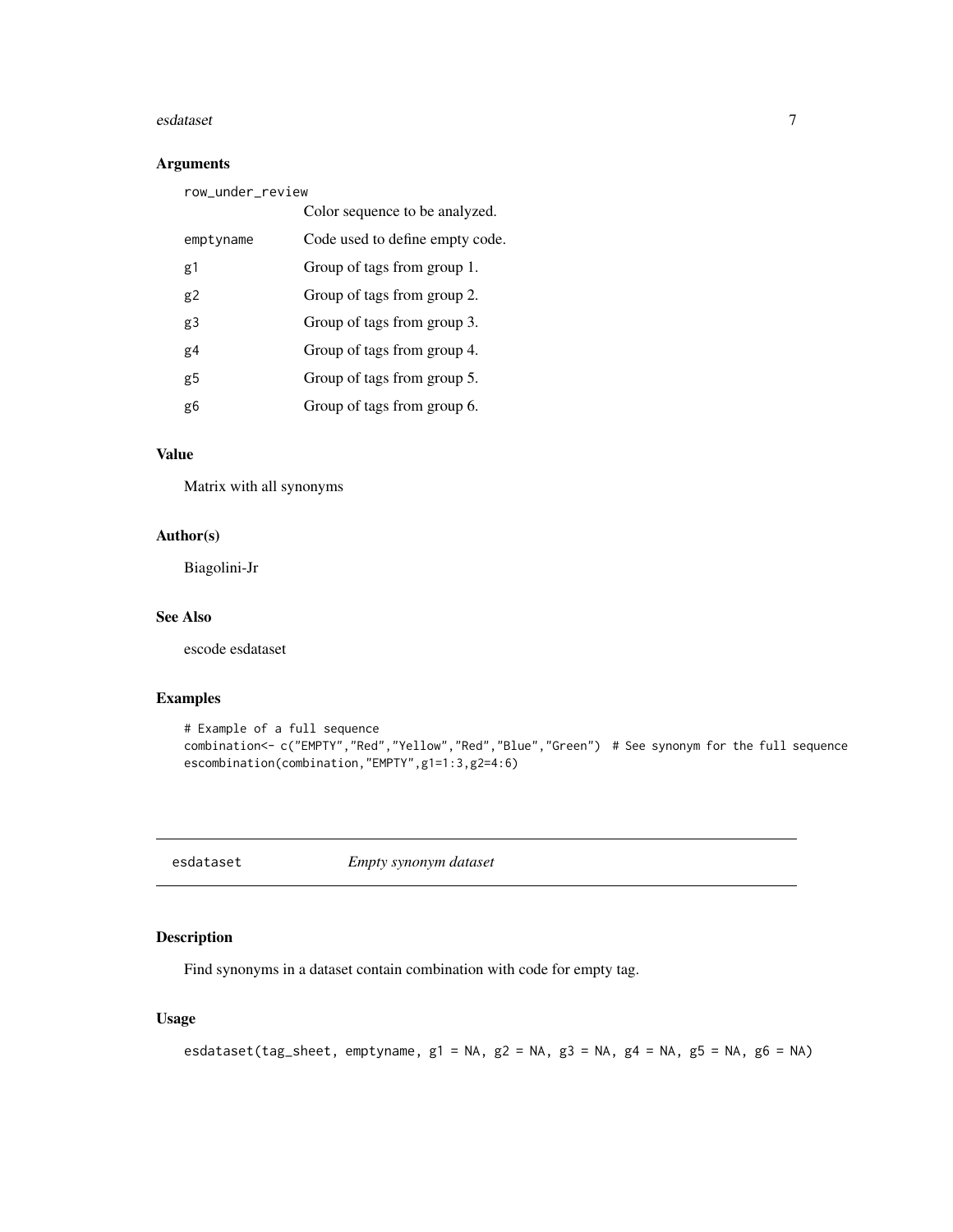#### <span id="page-6-0"></span>esdataset 7 aastaset 1989. Een aastaset 1989 waa van die gebeure 1989 van die 1989 van die 1980 van die 1980 v

#### Arguments

| row_under_review |                                 |  |
|------------------|---------------------------------|--|
|                  | Color sequence to be analyzed.  |  |
| emptyname        | Code used to define empty code. |  |
| g1               | Group of tags from group 1.     |  |
| g2               | Group of tags from group 2.     |  |
| g3               | Group of tags from group 3.     |  |
| g4               | Group of tags from group 4.     |  |
| g5               | Group of tags from group 5.     |  |
| g6               | Group of tags from group 6.     |  |

## Value

Matrix with all synonyms

#### Author(s)

Biagolini-Jr

#### See Also

escode esdataset

## Examples

```
# Example of a full sequence
combination<- c("EMPTY","Red","Yellow","Red","Blue","Green") # See synonym for the full sequence
escombination(combination,"EMPTY",g1=1:3,g2=4:6)
```
esdataset *Empty synonym dataset*

## Description

Find synonyms in a dataset contain combination with code for empty tag.

#### Usage

```
esdataset(tag_sheet, emptyname, g1 = NA, g2 = NA, g3 = NA, g4 = NA, g5 = NA, g6 = NA)
```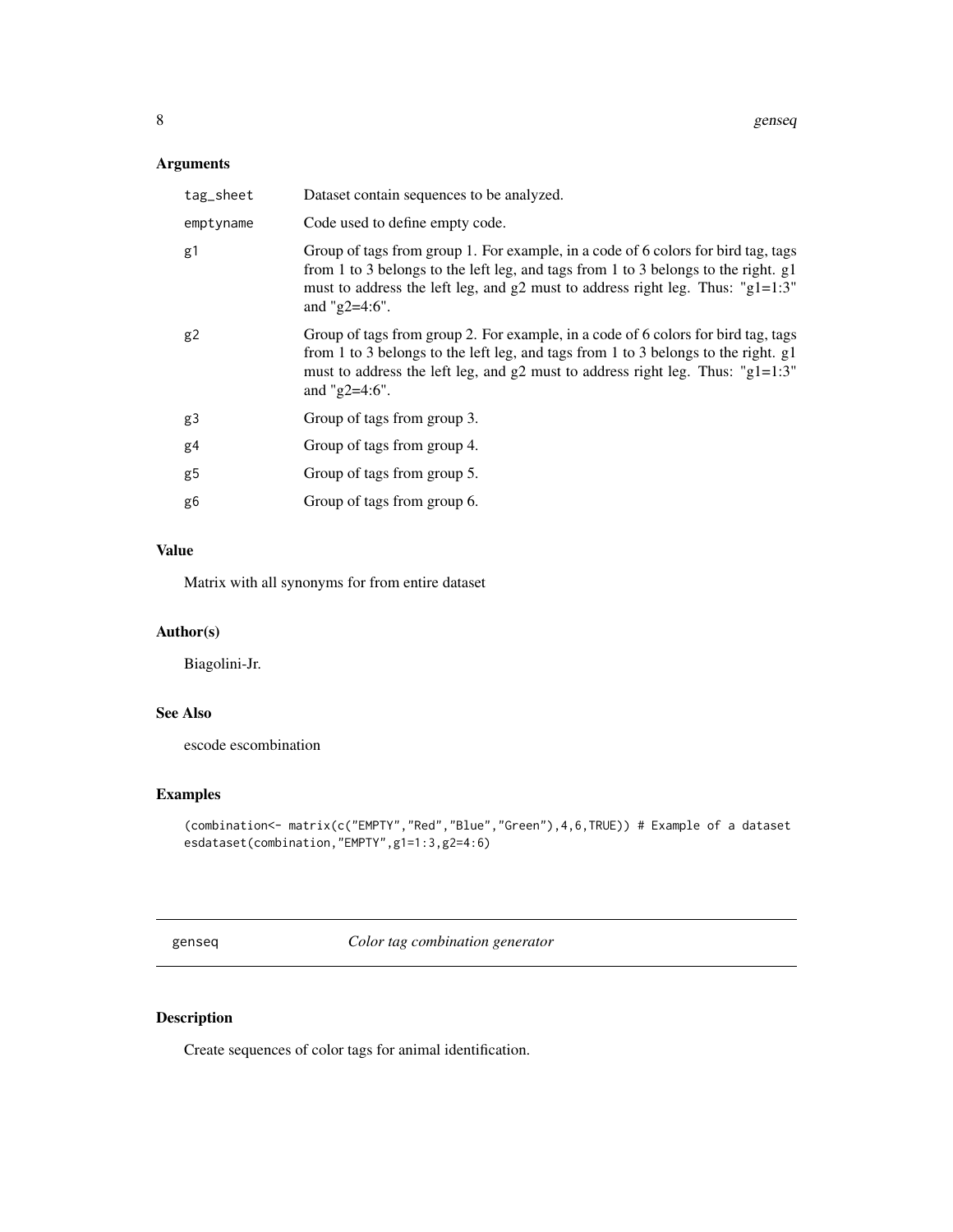## <span id="page-7-0"></span>Arguments

| tag_sheet | Dataset contain sequences to be analyzed.                                                                                                                                                                                                                                      |
|-----------|--------------------------------------------------------------------------------------------------------------------------------------------------------------------------------------------------------------------------------------------------------------------------------|
| emptyname | Code used to define empty code.                                                                                                                                                                                                                                                |
| g1        | Group of tags from group 1. For example, in a code of 6 colors for bird tag, tags<br>from 1 to 3 belongs to the left leg, and tags from 1 to 3 belongs to the right. g1<br>must to address the left leg, and g2 must to address right leg. Thus: "g1=1:3"<br>and " $g2=4:6$ ". |
| g2        | Group of tags from group 2. For example, in a code of 6 colors for bird tag, tags<br>from 1 to 3 belongs to the left leg, and tags from 1 to 3 belongs to the right. g1<br>must to address the left leg, and g2 must to address right leg. Thus: "g1=1:3"<br>and " $g2=4:6$ ". |
| g3        | Group of tags from group 3.                                                                                                                                                                                                                                                    |
| g4        | Group of tags from group 4.                                                                                                                                                                                                                                                    |
| g5        | Group of tags from group 5.                                                                                                                                                                                                                                                    |
| g6        | Group of tags from group 6.                                                                                                                                                                                                                                                    |

## Value

Matrix with all synonyms for from entire dataset

## Author(s)

Biagolini-Jr.

## See Also

escode escombination

## Examples

```
(combination<- matrix(c("EMPTY","Red","Blue","Green"),4,6,TRUE)) # Example of a dataset
esdataset(combination,"EMPTY",g1=1:3,g2=4:6)
```
genseq *Color tag combination generator*

## Description

Create sequences of color tags for animal identification.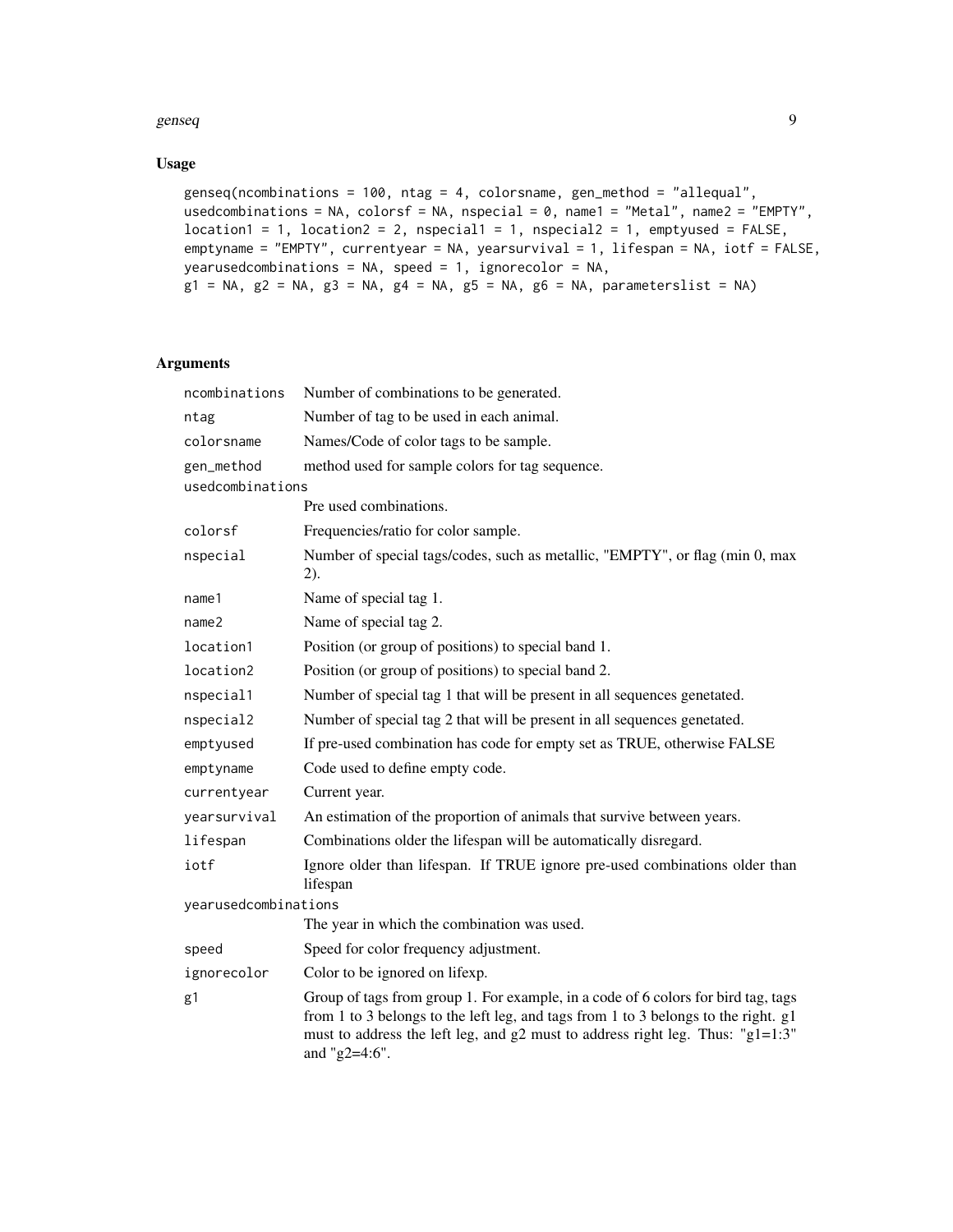#### genseq **9**

#### Usage

```
genseq(ncombinations = 100, ntag = 4, colorsname, gen_method = "allequal",
usedcombinations = NA, colorsf = NA, nspecial = 0, name1 = "Metal", name2 = "EMPTY",
location1 = 1, location2 = 2, nspecial1 = 1, nspecial2 = 1, emptyused = FALSE,
emptyname = "EMPTY", currentyear = NA, yearsurvival = 1, lifespan = NA, iotf = FALSE,
yearusedcombinations = NA, speed = 1, ignorecolor = NA,
g1 = NA, g2 = NA, g3 = NA, g4 = NA, g5 = NA, g6 = NA, parameterslist = NA)
```
#### Arguments

| ncombinations                  | Number of combinations to be generated.                                                                                                                                                                                                                                    |
|--------------------------------|----------------------------------------------------------------------------------------------------------------------------------------------------------------------------------------------------------------------------------------------------------------------------|
| ntag                           | Number of tag to be used in each animal.                                                                                                                                                                                                                                   |
| colorsname                     | Names/Code of color tags to be sample.                                                                                                                                                                                                                                     |
| gen_method<br>usedcombinations | method used for sample colors for tag sequence.                                                                                                                                                                                                                            |
|                                | Pre used combinations.                                                                                                                                                                                                                                                     |
| colorsf                        | Frequencies/ratio for color sample.                                                                                                                                                                                                                                        |
| nspecial                       | Number of special tags/codes, such as metallic, "EMPTY", or flag (min 0, max<br>2).                                                                                                                                                                                        |
| name1                          | Name of special tag 1.                                                                                                                                                                                                                                                     |
| name <sub>2</sub>              | Name of special tag 2.                                                                                                                                                                                                                                                     |
| location1                      | Position (or group of positions) to special band 1.                                                                                                                                                                                                                        |
| location2                      | Position (or group of positions) to special band 2.                                                                                                                                                                                                                        |
| nspecial1                      | Number of special tag 1 that will be present in all sequences genetated.                                                                                                                                                                                                   |
| nspecial2                      | Number of special tag 2 that will be present in all sequences genetated.                                                                                                                                                                                                   |
| emptyused                      | If pre-used combination has code for empty set as TRUE, otherwise FALSE                                                                                                                                                                                                    |
| emptyname                      | Code used to define empty code.                                                                                                                                                                                                                                            |
| currentyear                    | Current year.                                                                                                                                                                                                                                                              |
| yearsurvival                   | An estimation of the proportion of animals that survive between years.                                                                                                                                                                                                     |
| lifespan                       | Combinations older the lifespan will be automatically disregard.                                                                                                                                                                                                           |
| iotf                           | Ignore older than lifespan. If TRUE ignore pre-used combinations older than<br>lifespan                                                                                                                                                                                    |
| yearusedcombinations           |                                                                                                                                                                                                                                                                            |
|                                | The year in which the combination was used.                                                                                                                                                                                                                                |
| speed                          | Speed for color frequency adjustment.                                                                                                                                                                                                                                      |
| ignorecolor                    | Color to be ignored on lifexp.                                                                                                                                                                                                                                             |
| g1                             | Group of tags from group 1. For example, in a code of 6 colors for bird tag, tags<br>from 1 to 3 belongs to the left leg, and tags from 1 to 3 belongs to the right. g1<br>must to address the left leg, and g2 must to address right leg. Thus: "g1=1:3"<br>and "g2=4:6". |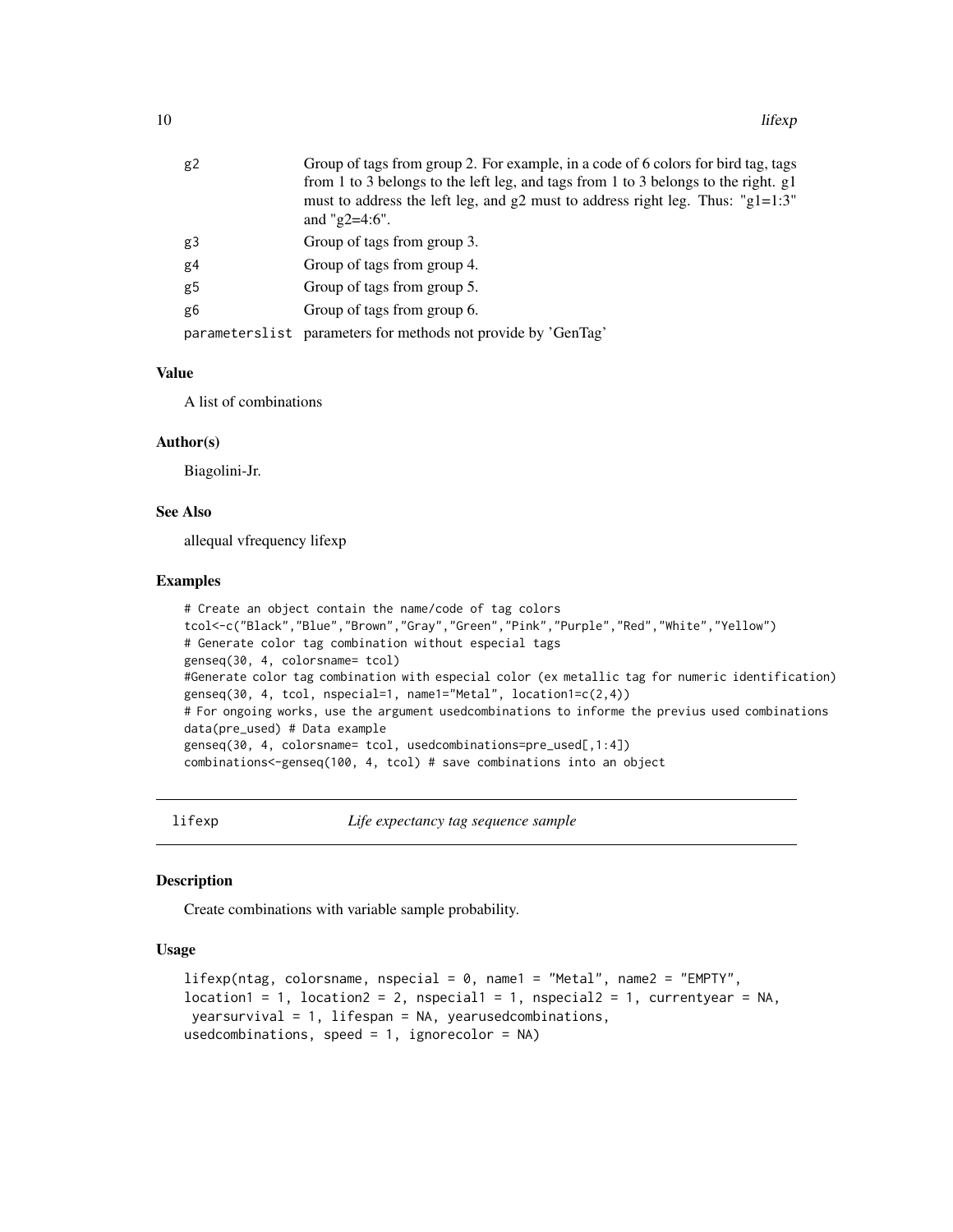<span id="page-9-0"></span>

| g2             | Group of tags from group 2. For example, in a code of 6 colors for bird tag, tags    |
|----------------|--------------------------------------------------------------------------------------|
|                | from 1 to 3 belongs to the left leg, and tags from 1 to 3 belongs to the right. g1   |
|                | must to address the left leg, and $g2$ must to address right leg. Thus: " $g1=1:3$ " |
|                | and " $g2=4:6$ ".                                                                    |
| g3             | Group of tags from group 3.                                                          |
| g <sub>4</sub> | Group of tags from group 4.                                                          |
| g5             | Group of tags from group 5.                                                          |
| g6             | Group of tags from group 6.                                                          |
|                | parameterslist parameters for methods not provide by 'GenTag'                        |

#### Value

A list of combinations

#### Author(s)

Biagolini-Jr.

#### See Also

allequal vfrequency lifexp

#### Examples

```
# Create an object contain the name/code of tag colors
tcol<-c("Black","Blue","Brown","Gray","Green","Pink","Purple","Red","White","Yellow")
# Generate color tag combination without especial tags
genseq(30, 4, colorsname= tcol)
#Generate color tag combination with especial color (ex metallic tag for numeric identification)
genseq(30, 4, tcol, nspecial=1, name1="Metal", location1=c(2,4))
# For ongoing works, use the argument usedcombinations to informe the previus used combinations
data(pre_used) # Data example
genseq(30, 4, colorsname= tcol, usedcombinations=pre_used[,1:4])
combinations<-genseq(100, 4, tcol) # save combinations into an object
```
lifexp *Life expectancy tag sequence sample*

#### **Description**

Create combinations with variable sample probability.

## Usage

```
lifexp(ntag, colorsname, nspecial = 0, name1 = "Metal", name2 = "EMPTY",
location1 = 1, location2 = 2, nspecial1 = 1, nspecial2 = 1, currentyear = NA.
yearsurvival = 1, lifespan = NA, yearusedcombinations,
usedcombinations, speed = 1, ignorecolor = NA)
```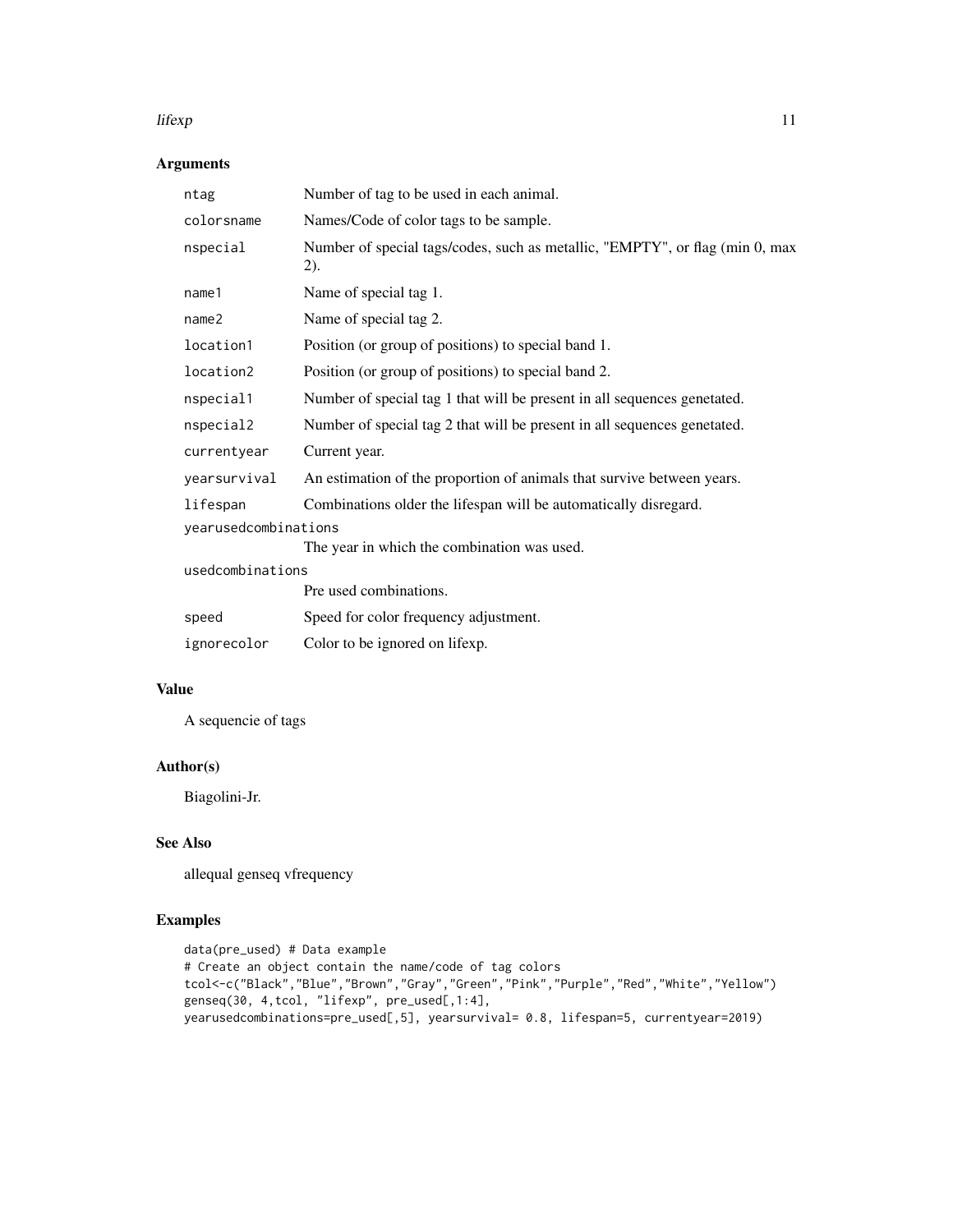#### lifexp 200 and 200 and 200 and 200 and 200 and 200 and 200 and 200 and 200 and 200 and 200 and 200 and 200 and 200 and 200 and 200 and 200 and 200 and 200 and 200 and 200 and 200 and 200 and 200 and 200 and 200 and 200 and

## Arguments

| ntag                                                                | Number of tag to be used in each animal.                                            |  |
|---------------------------------------------------------------------|-------------------------------------------------------------------------------------|--|
| colorsname                                                          | Names/Code of color tags to be sample.                                              |  |
| nspecial                                                            | Number of special tags/codes, such as metallic, "EMPTY", or flag (min 0, max<br>2). |  |
| name1                                                               | Name of special tag 1.                                                              |  |
| name <sub>2</sub>                                                   | Name of special tag 2.                                                              |  |
| location1                                                           | Position (or group of positions) to special band 1.                                 |  |
| location2                                                           | Position (or group of positions) to special band 2.                                 |  |
| nspecial1                                                           | Number of special tag 1 that will be present in all sequences genetated.            |  |
| nspecial2                                                           | Number of special tag 2 that will be present in all sequences genetated.            |  |
| currentyear                                                         | Current year.                                                                       |  |
| yearsurvival                                                        | An estimation of the proportion of animals that survive between years.              |  |
| lifespan                                                            | Combinations older the lifespan will be automatically disregard.                    |  |
| yearusedcombinations<br>The year in which the combination was used. |                                                                                     |  |
| usedcombinations                                                    |                                                                                     |  |
|                                                                     | Pre used combinations.                                                              |  |
| speed                                                               | Speed for color frequency adjustment.                                               |  |
| ignorecolor                                                         | Color to be ignored on lifexp.                                                      |  |

## Value

A sequencie of tags

## Author(s)

Biagolini-Jr.

## See Also

allequal genseq vfrequency

```
data(pre_used) # Data example
# Create an object contain the name/code of tag colors
tcol<-c("Black","Blue","Brown","Gray","Green","Pink","Purple","Red","White","Yellow")
genseq(30, 4,tcol, "lifexp", pre_used[,1:4],
yearusedcombinations=pre_used[,5], yearsurvival= 0.8, lifespan=5, currentyear=2019)
```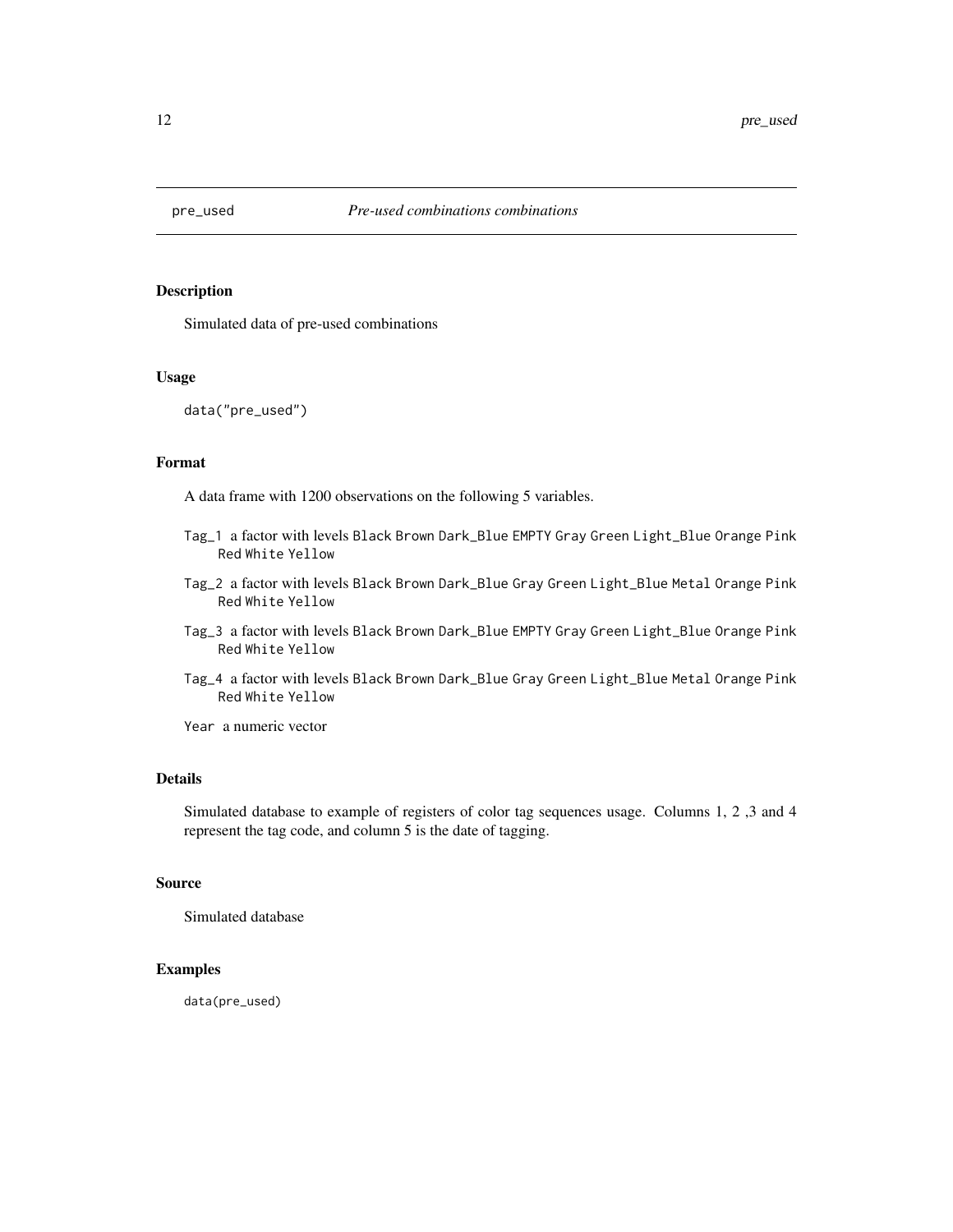<span id="page-11-0"></span>

Simulated data of pre-used combinations

## Usage

```
data("pre_used")
```
#### Format

A data frame with 1200 observations on the following 5 variables.

- Tag\_1 a factor with levels Black Brown Dark\_Blue EMPTY Gray Green Light\_Blue Orange Pink Red White Yellow
- Tag\_2 a factor with levels Black Brown Dark\_Blue Gray Green Light\_Blue Metal Orange Pink Red White Yellow
- Tag\_3 a factor with levels Black Brown Dark\_Blue EMPTY Gray Green Light\_Blue Orange Pink Red White Yellow
- Tag\_4 a factor with levels Black Brown Dark\_Blue Gray Green Light\_Blue Metal Orange Pink Red White Yellow

Year a numeric vector

#### Details

Simulated database to example of registers of color tag sequences usage. Columns 1, 2 ,3 and 4 represent the tag code, and column 5 is the date of tagging.

#### Source

Simulated database

## Examples

data(pre\_used)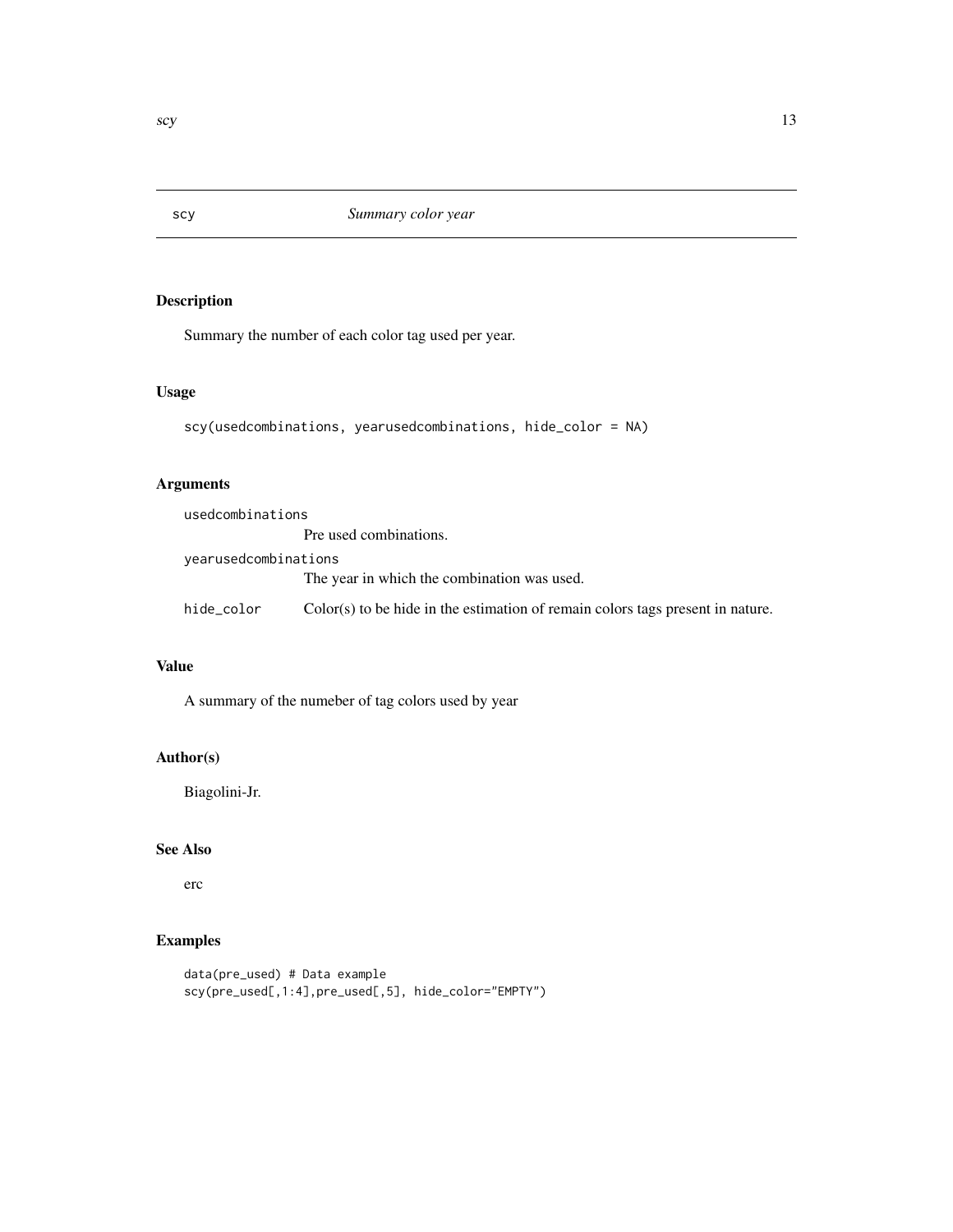Summary the number of each color tag used per year.

## Usage

```
scy(usedcombinations, yearusedcombinations, hide_color = NA)
```
## Arguments

| usedcombinations     |                                                                                  |
|----------------------|----------------------------------------------------------------------------------|
|                      | Pre used combinations.                                                           |
| yearusedcombinations |                                                                                  |
|                      | The year in which the combination was used.                                      |
| hide_color           | $Color(s)$ to be hide in the estimation of remain colors tags present in nature. |

#### Value

A summary of the numeber of tag colors used by year

## Author(s)

Biagolini-Jr.

## See Also

erc

```
data(pre_used) # Data example
scy(pre_used[,1:4],pre_used[,5], hide_color="EMPTY")
```
<span id="page-12-0"></span>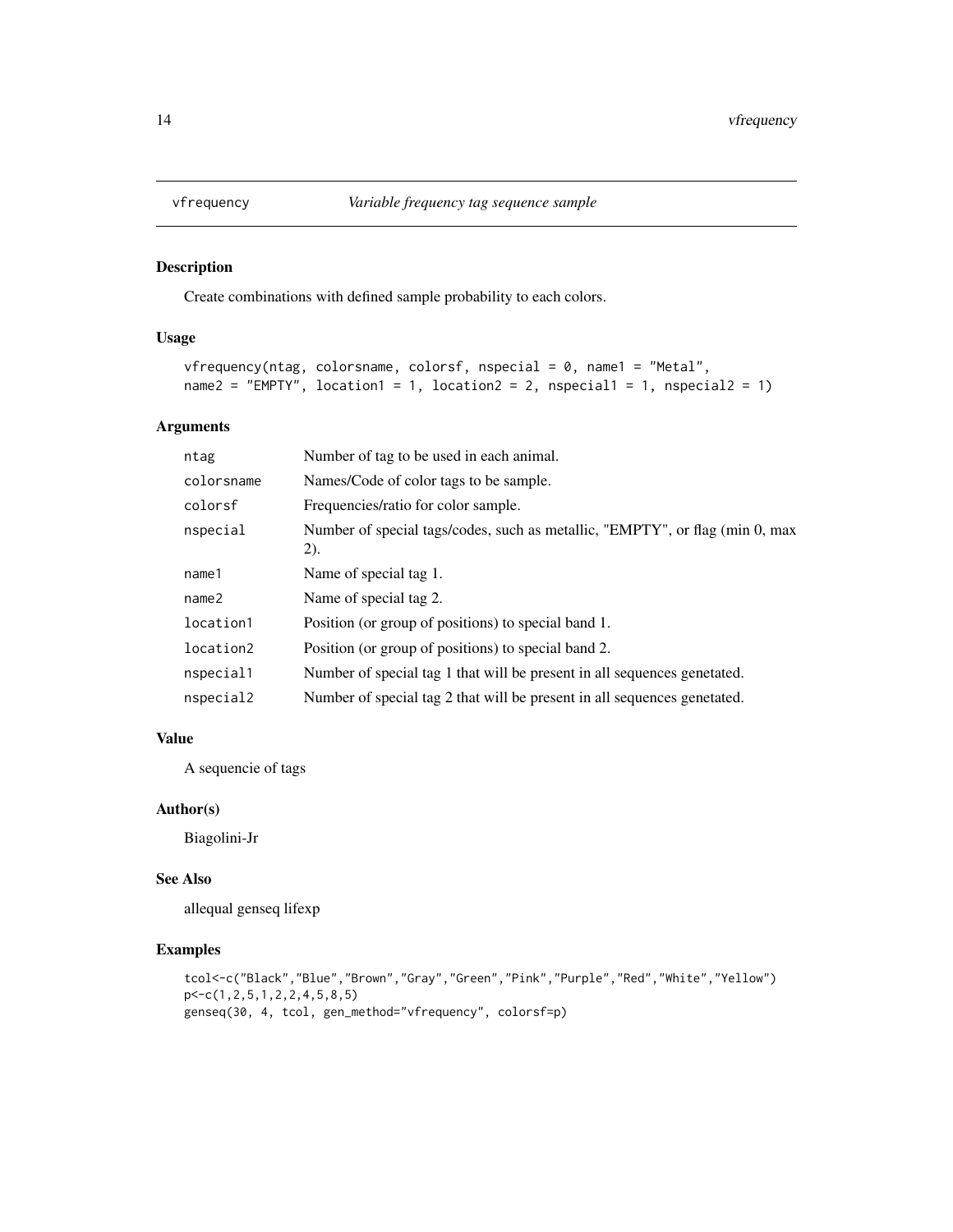<span id="page-13-0"></span>

Create combinations with defined sample probability to each colors.

## Usage

```
vfrequency(ntag, colorsname, colorsf, nspecial = 0, name1 = "Metal",
name2 = "EMPTY", location1 = 1, location2 = 2, nspecial1 = 1, nspecial2 = 1)
```
#### Arguments

| ntag              | Number of tag to be used in each animal.                                             |
|-------------------|--------------------------------------------------------------------------------------|
| colorsname        | Names/Code of color tags to be sample.                                               |
| colorsf           | Frequencies/ratio for color sample.                                                  |
| nspecial          | Number of special tags/codes, such as metallic, "EMPTY", or flag (min 0, max<br>(2). |
| name1             | Name of special tag 1.                                                               |
| name <sub>2</sub> | Name of special tag 2.                                                               |
| location1         | Position (or group of positions) to special band 1.                                  |
| location2         | Position (or group of positions) to special band 2.                                  |
| nspecial1         | Number of special tag 1 that will be present in all sequences genetated.             |
| nspecial2         | Number of special tag 2 that will be present in all sequences genetated.             |

#### Value

A sequencie of tags

#### Author(s)

Biagolini-Jr

#### See Also

allequal genseq lifexp

```
tcol<-c("Black","Blue","Brown","Gray","Green","Pink","Purple","Red","White","Yellow")
p<-c(1,2,5,1,2,2,4,5,8,5)
genseq(30, 4, tcol, gen_method="vfrequency", colorsf=p)
```